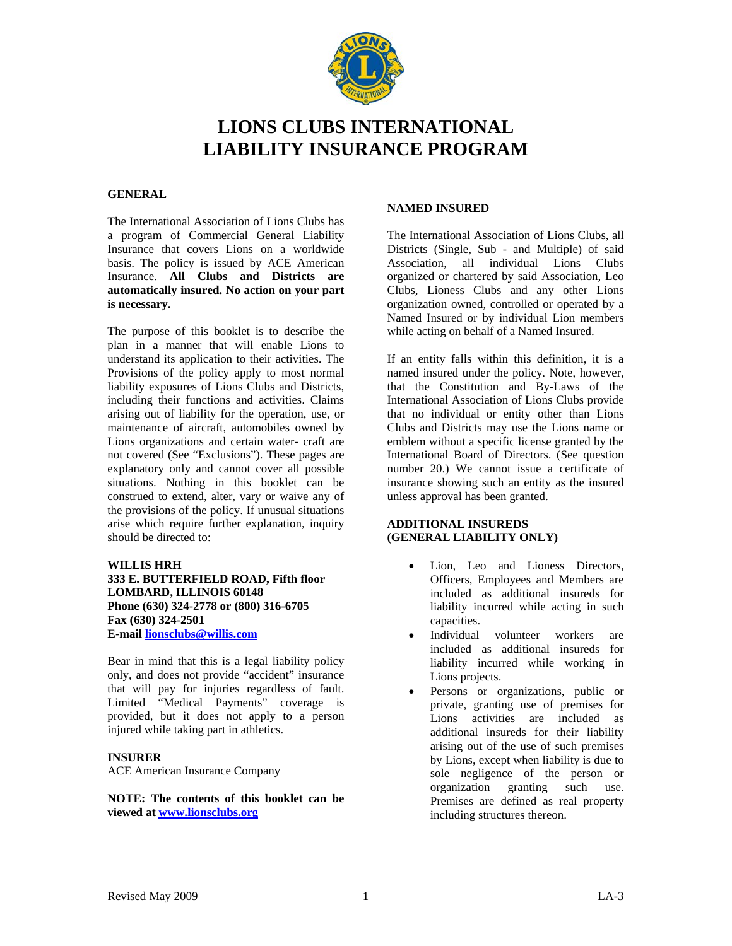

# **LIONS CLUBS INTERNATIONAL LIABILITY INSURANCE PROGRAM**

### **GENERAL**

The International Association of Lions Clubs has a program of Commercial General Liability Insurance that covers Lions on a worldwide basis. The policy is issued by ACE American Insurance. **All Clubs and Districts are automatically insured. No action on your part is necessary.** 

The purpose of this booklet is to describe the plan in a manner that will enable Lions to understand its application to their activities. The Provisions of the policy apply to most normal liability exposures of Lions Clubs and Districts, including their functions and activities. Claims arising out of liability for the operation, use, or maintenance of aircraft, automobiles owned by Lions organizations and certain water- craft are not covered (See "Exclusions"). These pages are explanatory only and cannot cover all possible situations. Nothing in this booklet can be construed to extend, alter, vary or waive any of the provisions of the policy. If unusual situations arise which require further explanation, inquiry should be directed to:

## **WILLIS HRH**

**333 E. BUTTERFIELD ROAD, Fifth floor LOMBARD, ILLINOIS 60148 Phone (630) 324-2778 or (800) 316-6705 Fax (630) 324-2501 E-mail [lionsclubs@willis.com](mailto:lionsclubs@willis.com)**

Bear in mind that this is a legal liability policy only, and does not provide "accident" insurance that will pay for injuries regardless of fault. Limited "Medical Payments" coverage is provided, but it does not apply to a person injured while taking part in athletics.

### **INSURER**

ACE American Insurance Company

**NOTE: The contents of this booklet can be viewed at [www.lionsclubs.org](http://www.lionsclubs.org/)**

#### **NAMED INSURED**

The International Association of Lions Clubs, all Districts (Single, Sub - and Multiple) of said Association, all individual Lions Clubs organized or chartered by said Association, Leo Clubs, Lioness Clubs and any other Lions organization owned, controlled or operated by a Named Insured or by individual Lion members while acting on behalf of a Named Insured.

If an entity falls within this definition, it is a named insured under the policy. Note, however, that the Constitution and By-Laws of the International Association of Lions Clubs provide that no individual or entity other than Lions Clubs and Districts may use the Lions name or emblem without a specific license granted by the International Board of Directors. (See question number 20.) We cannot issue a certificate of insurance showing such an entity as the insured unless approval has been granted.

### **ADDITIONAL INSUREDS (GENERAL LIABILITY ONLY)**

- Lion, Leo and Lioness Directors, Officers, Employees and Members are included as additional insureds for liability incurred while acting in such capacities.
- Individual volunteer workers are included as additional insureds for liability incurred while working in Lions projects.
- Persons or organizations, public or private, granting use of premises for Lions activities are included as additional insureds for their liability arising out of the use of such premises by Lions, except when liability is due to sole negligence of the person or organization granting such use. Premises are defined as real property including structures thereon.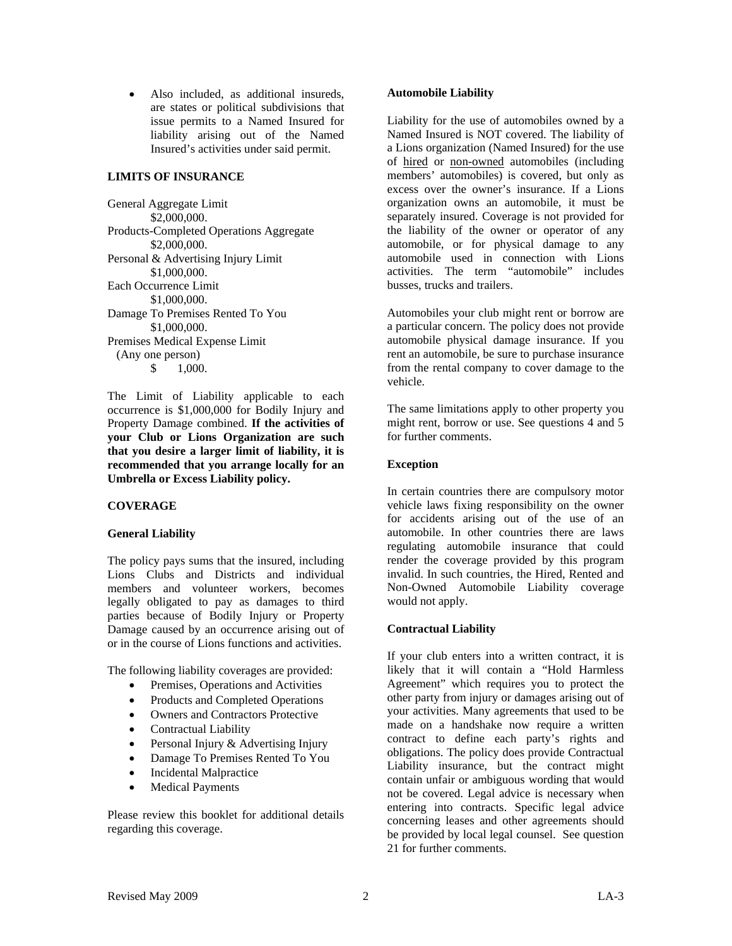• Also included, as additional insureds, are states or political subdivisions that issue permits to a Named Insured for liability arising out of the Named Insured's activities under said permit.

#### **LIMITS OF INSURANCE**

General Aggregate Limit \$2,000,000. Products-Completed Operations Aggregate \$2,000,000. Personal & Advertising Injury Limit \$1,000,000. Each Occurrence Limit \$1,000,000. Damage To Premises Rented To You \$1,000,000. Premises Medical Expense Limit (Any one person) \$ 1,000.

The Limit of Liability applicable to each occurrence is \$1,000,000 for Bodily Injury and Property Damage combined. **If the activities of your Club or Lions Organization are such that you desire a larger limit of liability, it is recommended that you arrange locally for an Umbrella or Excess Liability policy.**

### **COVERAGE**

### **General Liability**

The policy pays sums that the insured, including Lions Clubs and Districts and individual members and volunteer workers, becomes legally obligated to pay as damages to third parties because of Bodily Injury or Property Damage caused by an occurrence arising out of or in the course of Lions functions and activities.

The following liability coverages are provided:

- Premises, Operations and Activities
- Products and Completed Operations
- Owners and Contractors Protective
- Contractual Liability
- Personal Injury & Advertising Injury
- Damage To Premises Rented To You
- Incidental Malpractice
- Medical Payments

Please review this booklet for additional details regarding this coverage.

#### **Automobile Liability**

Liability for the use of automobiles owned by a Named Insured is NOT covered. The liability of a Lions organization (Named Insured) for the use of hired or non-owned automobiles (including members' automobiles) is covered, but only as excess over the owner's insurance. If a Lions organization owns an automobile, it must be separately insured. Coverage is not provided for the liability of the owner or operator of any automobile, or for physical damage to any automobile used in connection with Lions activities. The term "automobile" includes busses, trucks and trailers.

Automobiles your club might rent or borrow are a particular concern. The policy does not provide automobile physical damage insurance. If you rent an automobile, be sure to purchase insurance from the rental company to cover damage to the vehicle.

The same limitations apply to other property you might rent, borrow or use. See questions 4 and 5 for further comments.

### **Exception**

In certain countries there are compulsory motor vehicle laws fixing responsibility on the owner for accidents arising out of the use of an automobile. In other countries there are laws regulating automobile insurance that could render the coverage provided by this program invalid. In such countries, the Hired, Rented and Non-Owned Automobile Liability coverage would not apply.

### **Contractual Liability**

If your club enters into a written contract, it is likely that it will contain a "Hold Harmless Agreement" which requires you to protect the other party from injury or damages arising out of your activities. Many agreements that used to be made on a handshake now require a written contract to define each party's rights and obligations. The policy does provide Contractual Liability insurance, but the contract might contain unfair or ambiguous wording that would not be covered. Legal advice is necessary when entering into contracts. Specific legal advice concerning leases and other agreements should be provided by local legal counsel. See question 21 for further comments.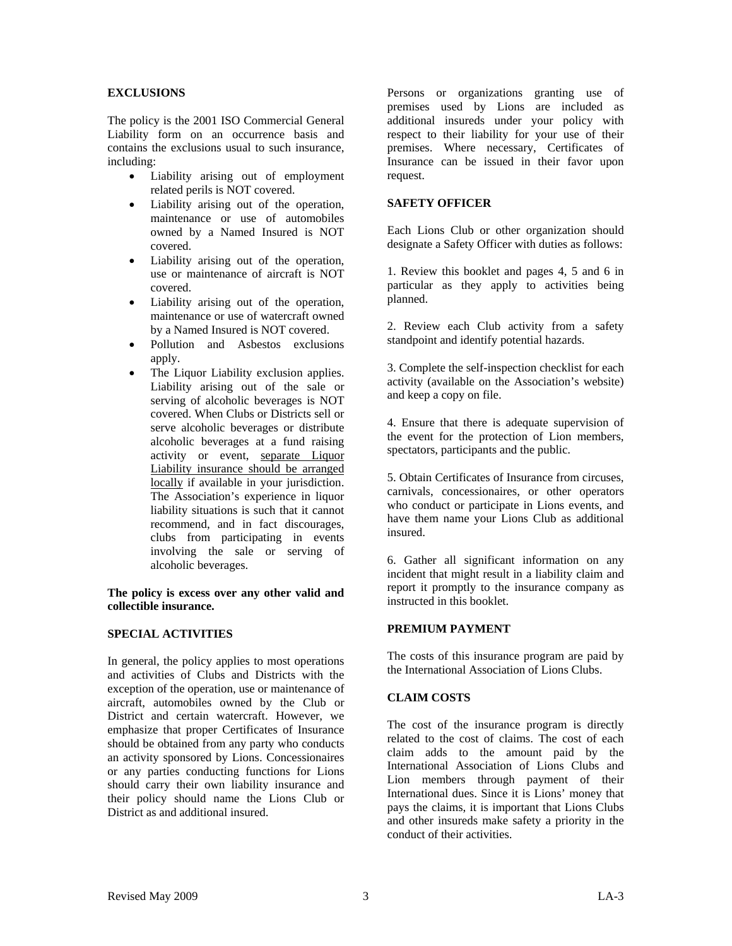### **EXCLUSIONS**

The policy is the 2001 ISO Commercial General Liability form on an occurrence basis and contains the exclusions usual to such insurance, including:

- Liability arising out of employment related perils is NOT covered.
- Liability arising out of the operation, maintenance or use of automobiles owned by a Named Insured is NOT covered.
- Liability arising out of the operation, use or maintenance of aircraft is NOT covered.
- Liability arising out of the operation, maintenance or use of watercraft owned by a Named Insured is NOT covered.
- Pollution and Asbestos exclusions apply.
- The Liquor Liability exclusion applies. Liability arising out of the sale or serving of alcoholic beverages is NOT covered. When Clubs or Districts sell or serve alcoholic beverages or distribute alcoholic beverages at a fund raising activity or event, separate Liquor Liability insurance should be arranged locally if available in your jurisdiction. The Association's experience in liquor liability situations is such that it cannot recommend, and in fact discourages, clubs from participating in events involving the sale or serving of alcoholic beverages.

**The policy is excess over any other valid and collectible insurance.** 

### **SPECIAL ACTIVITIES**

In general, the policy applies to most operations and activities of Clubs and Districts with the exception of the operation, use or maintenance of aircraft, automobiles owned by the Club or District and certain watercraft. However, we emphasize that proper Certificates of Insurance should be obtained from any party who conducts an activity sponsored by Lions. Concessionaires or any parties conducting functions for Lions should carry their own liability insurance and their policy should name the Lions Club or District as and additional insured.

Persons or organizations granting use of premises used by Lions are included as additional insureds under your policy with respect to their liability for your use of their premises. Where necessary, Certificates of Insurance can be issued in their favor upon request.

### **SAFETY OFFICER**

Each Lions Club or other organization should designate a Safety Officer with duties as follows:

1. Review this booklet and pages 4, 5 and 6 in particular as they apply to activities being planned.

2. Review each Club activity from a safety standpoint and identify potential hazards.

3. Complete the self-inspection checklist for each activity (available on the Association's website) and keep a copy on file.

4. Ensure that there is adequate supervision of the event for the protection of Lion members, spectators, participants and the public.

5. Obtain Certificates of Insurance from circuses, carnivals, concessionaires, or other operators who conduct or participate in Lions events, and have them name your Lions Club as additional insured.

6. Gather all significant information on any incident that might result in a liability claim and report it promptly to the insurance company as instructed in this booklet.

#### **PREMIUM PAYMENT**

The costs of this insurance program are paid by the International Association of Lions Clubs.

#### **CLAIM COSTS**

The cost of the insurance program is directly related to the cost of claims. The cost of each claim adds to the amount paid by the International Association of Lions Clubs and Lion members through payment of their International dues. Since it is Lions' money that pays the claims, it is important that Lions Clubs and other insureds make safety a priority in the conduct of their activities.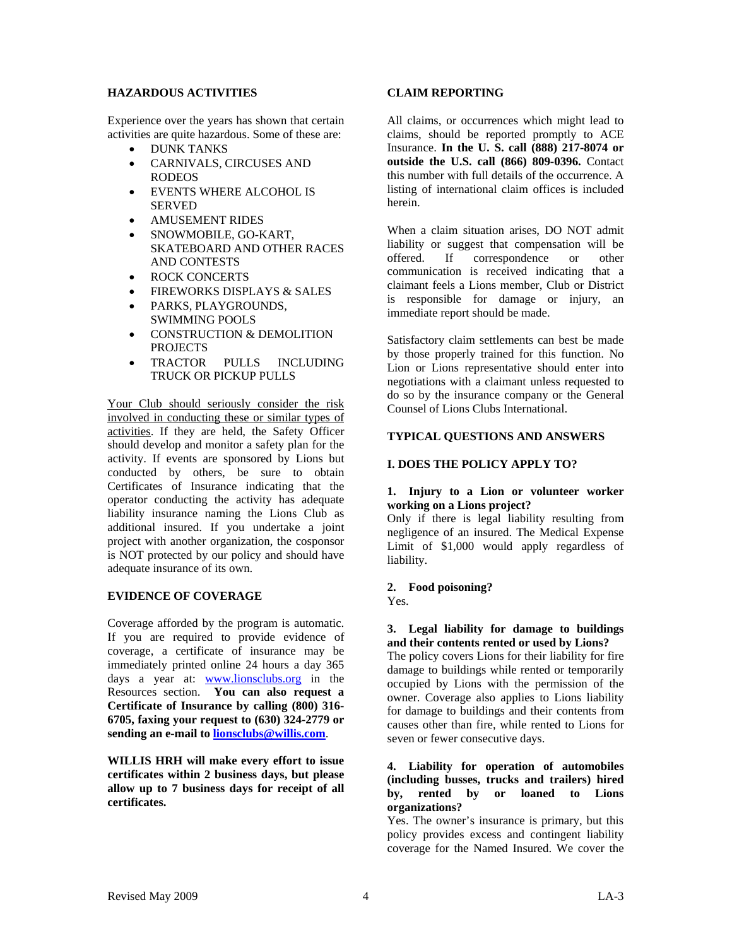### **HAZARDOUS ACTIVITIES**

Experience over the years has shown that certain activities are quite hazardous. Some of these are:

- DUNK TANKS
- CARNIVALS, CIRCUSES AND RODEOS
- EVENTS WHERE ALCOHOL IS SERVED
- AMUSEMENT RIDES
- SNOWMOBILE, GO-KART, SKATEBOARD AND OTHER RACES AND CONTESTS
- ROCK CONCERTS
- FIREWORKS DISPLAYS & SALES
- PARKS, PLAYGROUNDS, SWIMMING POOLS
- CONSTRUCTION & DEMOLITION PROJECTS
- TRACTOR PULLS INCLUDING TRUCK OR PICKUP PULLS

Your Club should seriously consider the risk involved in conducting these or similar types of activities. If they are held, the Safety Officer should develop and monitor a safety plan for the activity. If events are sponsored by Lions but conducted by others, be sure to obtain Certificates of Insurance indicating that the operator conducting the activity has adequate liability insurance naming the Lions Club as additional insured. If you undertake a joint project with another organization, the cosponsor is NOT protected by our policy and should have adequate insurance of its own.

### **EVIDENCE OF COVERAGE**

Coverage afforded by the program is automatic. If you are required to provide evidence of coverage, a certificate of insurance may be immediately printed online 24 hours a day 365 days a year at: [www.lionsclubs.org](http://www.lionsclubs.org/) in the Resources section. **You can also request a Certificate of Insurance by calling (800) 316- 6705, faxing your request to (630) 324-2779 or sending an e-mail to [lionsclubs@willis.com](mailto:lionsclubs@willis.com)**.

**WILLIS HRH will make every effort to issue certificates within 2 business days, but please allow up to 7 business days for receipt of all certificates.** 

### **CLAIM REPORTING**

All claims, or occurrences which might lead to claims, should be reported promptly to ACE Insurance. **In the U. S. call (888) 217-8074 or outside the U.S. call (866) 809-0396.** Contact this number with full details of the occurrence. A listing of international claim offices is included herein.

When a claim situation arises, DO NOT admit liability or suggest that compensation will be offered. If correspondence or other communication is received indicating that a claimant feels a Lions member, Club or District is responsible for damage or injury, an immediate report should be made.

Satisfactory claim settlements can best be made by those properly trained for this function. No Lion or Lions representative should enter into negotiations with a claimant unless requested to do so by the insurance company or the General Counsel of Lions Clubs International.

### **TYPICAL QUESTIONS AND ANSWERS**

### **I. DOES THE POLICY APPLY TO?**

#### **1. Injury to a Lion or volunteer worker working on a Lions project?**

Only if there is legal liability resulting from negligence of an insured. The Medical Expense Limit of \$1,000 would apply regardless of liability.

### **2. Food poisoning?**

Yes.

### **3. Legal liability for damage to buildings and their contents rented or used by Lions?**

The policy covers Lions for their liability for fire damage to buildings while rented or temporarily occupied by Lions with the permission of the owner. Coverage also applies to Lions liability for damage to buildings and their contents from causes other than fire, while rented to Lions for seven or fewer consecutive days.

#### **4. Liability for operation of automobiles (including busses, trucks and trailers) hired by, rented by or loaned to Lions organizations?**

Yes. The owner's insurance is primary, but this policy provides excess and contingent liability coverage for the Named Insured. We cover the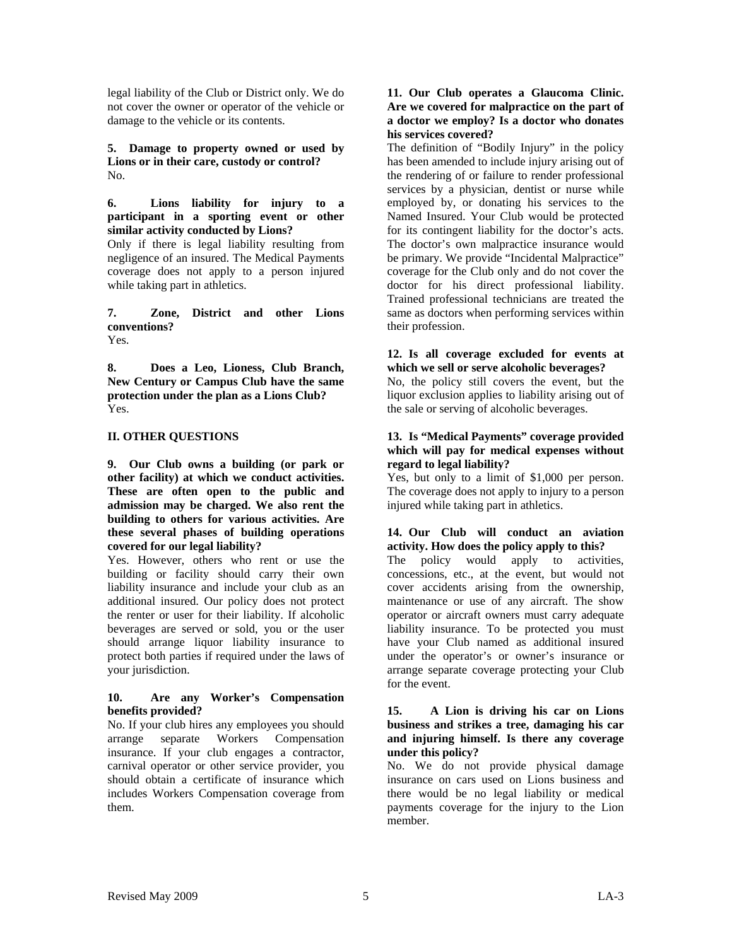legal liability of the Club or District only. We do not cover the owner or operator of the vehicle or damage to the vehicle or its contents.

**5. Damage to property owned or used by Lions or in their care, custody or control?**  No.

**6. Lions liability for injury to a participant in a sporting event or other similar activity conducted by Lions?** 

Only if there is legal liability resulting from negligence of an insured. The Medical Payments coverage does not apply to a person injured while taking part in athletics.

**7. Zone, District and other Lions conventions?**  Yes.

**8. Does a Leo, Lioness, Club Branch, New Century or Campus Club have the same protection under the plan as a Lions Club?**  Yes.

### **II. OTHER QUESTIONS**

**9. Our Club owns a building (or park or other facility) at which we conduct activities. These are often open to the public and admission may be charged. We also rent the building to others for various activities. Are these several phases of building operations covered for our legal liability?**

Yes. However, others who rent or use the building or facility should carry their own liability insurance and include your club as an additional insured. Our policy does not protect the renter or user for their liability. If alcoholic beverages are served or sold, you or the user should arrange liquor liability insurance to protect both parties if required under the laws of your jurisdiction.

### **10. Are any Worker's Compensation benefits provided?**

No. If your club hires any employees you should arrange separate Workers Compensation insurance. If your club engages a contractor, carnival operator or other service provider, you should obtain a certificate of insurance which includes Workers Compensation coverage from them.

#### **11. Our Club operates a Glaucoma Clinic. Are we covered for malpractice on the part of a doctor we employ? Is a doctor who donates his services covered?**

The definition of "Bodily Injury" in the policy has been amended to include injury arising out of the rendering of or failure to render professional services by a physician, dentist or nurse while employed by, or donating his services to the Named Insured. Your Club would be protected for its contingent liability for the doctor's acts. The doctor's own malpractice insurance would be primary. We provide "Incidental Malpractice" coverage for the Club only and do not cover the doctor for his direct professional liability. Trained professional technicians are treated the same as doctors when performing services within their profession.

### **12. Is all coverage excluded for events at which we sell or serve alcoholic beverages?**

No, the policy still covers the event, but the liquor exclusion applies to liability arising out of the sale or serving of alcoholic beverages.

#### **13. Is "Medical Payments" coverage provided which will pay for medical expenses without regard to legal liability?**

Yes, but only to a limit of \$1,000 per person. The coverage does not apply to injury to a person injured while taking part in athletics.

### **14. Our Club will conduct an aviation activity. How does the policy apply to this?**

The policy would apply to activities, concessions, etc., at the event, but would not cover accidents arising from the ownership, maintenance or use of any aircraft. The show operator or aircraft owners must carry adequate liability insurance. To be protected you must have your Club named as additional insured under the operator's or owner's insurance or arrange separate coverage protecting your Club for the event.

#### **15. A Lion is driving his car on Lions business and strikes a tree, damaging his car and injuring himself. Is there any coverage under this policy?**

No. We do not provide physical damage insurance on cars used on Lions business and there would be no legal liability or medical payments coverage for the injury to the Lion member.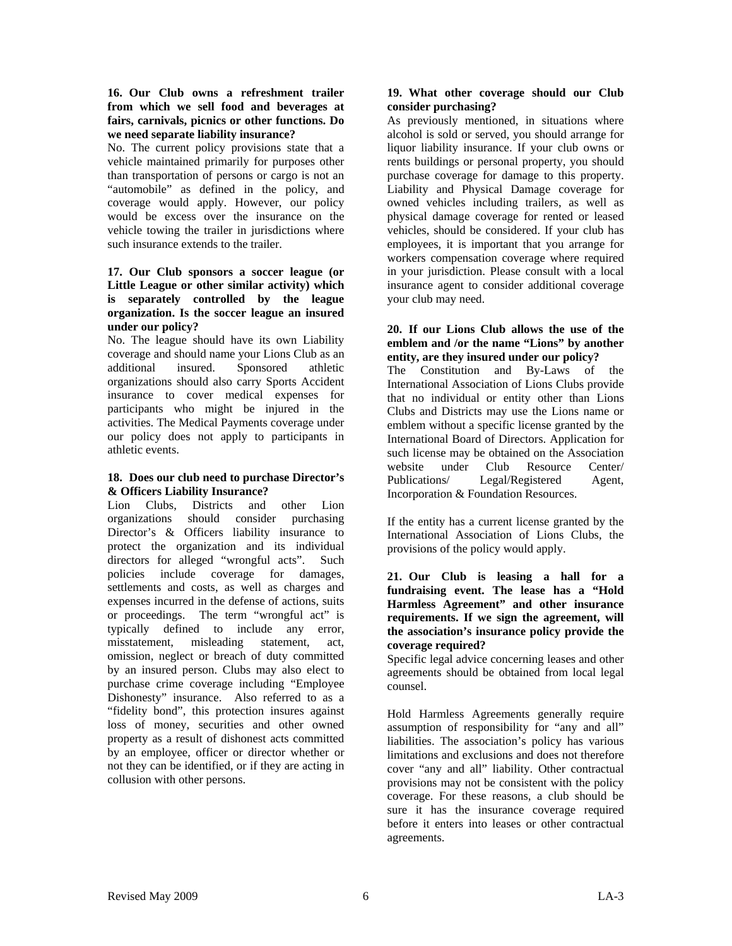#### **16. Our Club owns a refreshment trailer from which we sell food and beverages at fairs, carnivals, picnics or other functions. Do we need separate liability insurance?**

No. The current policy provisions state that a vehicle maintained primarily for purposes other than transportation of persons or cargo is not an "automobile" as defined in the policy, and coverage would apply. However, our policy would be excess over the insurance on the vehicle towing the trailer in jurisdictions where such insurance extends to the trailer.

#### **17. Our Club sponsors a soccer league (or Little League or other similar activity) which is separately controlled by the league organization. Is the soccer league an insured under our policy?**

No. The league should have its own Liability coverage and should name your Lions Club as an additional insured. Sponsored athletic organizations should also carry Sports Accident insurance to cover medical expenses for participants who might be injured in the activities. The Medical Payments coverage under our policy does not apply to participants in athletic events.

### **18. Does our club need to purchase Director's & Officers Liability Insurance?**

Lion Clubs, Districts and other Lion organizations should consider purchasing Director's & Officers liability insurance to protect the organization and its individual directors for alleged "wrongful acts". Such policies include coverage for damages, settlements and costs, as well as charges and expenses incurred in the defense of actions, suits or proceedings. The term "wrongful act" is typically defined to include any error, misstatement, misleading statement, act, omission, neglect or breach of duty committed by an insured person. Clubs may also elect to purchase crime coverage including "Employee Dishonesty" insurance. Also referred to as a "fidelity bond", this protection insures against loss of money, securities and other owned property as a result of dishonest acts committed by an employee, officer or director whether or not they can be identified, or if they are acting in collusion with other persons.

### **19. What other coverage should our Club consider purchasing?**

As previously mentioned, in situations where alcohol is sold or served, you should arrange for liquor liability insurance. If your club owns or rents buildings or personal property, you should purchase coverage for damage to this property. Liability and Physical Damage coverage for owned vehicles including trailers, as well as physical damage coverage for rented or leased vehicles, should be considered. If your club has employees, it is important that you arrange for workers compensation coverage where required in your jurisdiction. Please consult with a local insurance agent to consider additional coverage your club may need.

#### **20. If our Lions Club allows the use of the emblem and /or the name "Lions" by another entity, are they insured under our policy?**

The Constitution and By-Laws of the International Association of Lions Clubs provide that no individual or entity other than Lions Clubs and Districts may use the Lions name or emblem without a specific license granted by the International Board of Directors. Application for such license may be obtained on the Association website under Club Resource Center/ Publications/ Legal/Registered Agent, Incorporation & Foundation Resources.

If the entity has a current license granted by the International Association of Lions Clubs, the provisions of the policy would apply.

#### **21. Our Club is leasing a hall for a fundraising event. The lease has a "Hold Harmless Agreement" and other insurance requirements. If we sign the agreement, will the association's insurance policy provide the coverage required?**

Specific legal advice concerning leases and other agreements should be obtained from local legal counsel.

Hold Harmless Agreements generally require assumption of responsibility for "any and all" liabilities. The association's policy has various limitations and exclusions and does not therefore cover "any and all" liability. Other contractual provisions may not be consistent with the policy coverage. For these reasons, a club should be sure it has the insurance coverage required before it enters into leases or other contractual agreements.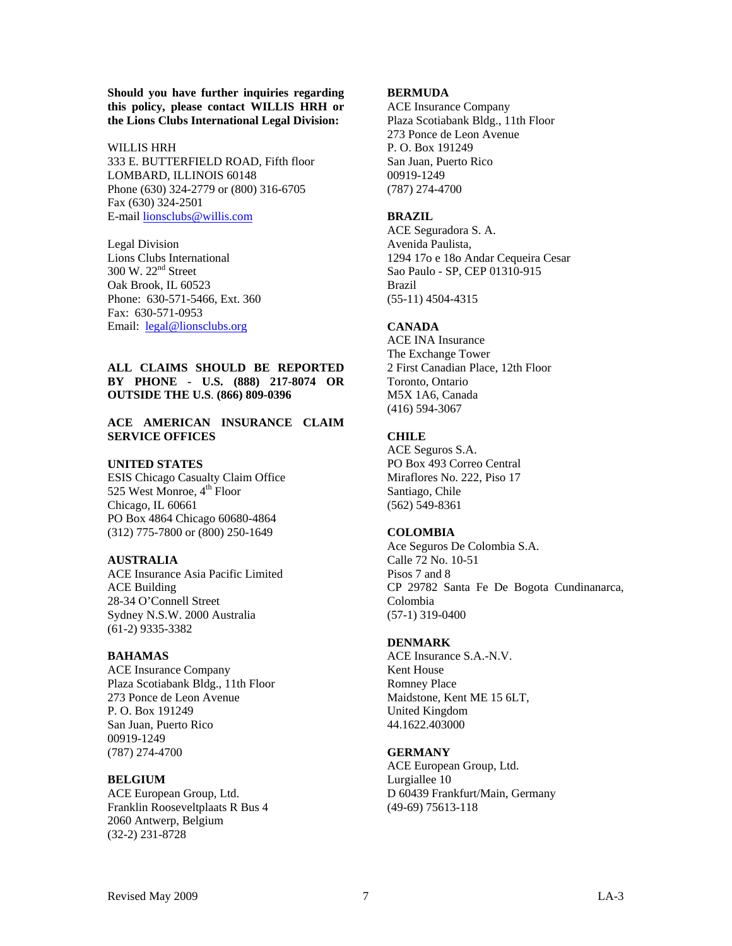**Should you have further inquiries regarding this policy, please contact WILLIS HRH or the Lions Clubs International Legal Division:** 

#### WILLIS HRH

333 E. BUTTERFIELD ROAD, Fifth floor LOMBARD, ILLINOIS 60148 Phone (630) 324-2779 or (800) 316-6705 Fax (630) 324-2501 E-mail [lionsclubs@willis.com](mailto:lionsclubs@willis.com)

Legal Division Lions Clubs International 300 W. 22nd Street Oak Brook, IL 60523 Phone: 630-571-5466, Ext. 360 Fax: 630-571-0953 Email: [legal@lionsclubs.org](mailto:legal@lionsclubs.org)

#### **ALL CLAIMS SHOULD BE REPORTED BY PHONE - U.S. (888) 217-8074 OR OUTSIDE THE U.S**. **(866) 809-0396**

#### **ACE AMERICAN INSURANCE CLAIM SERVICE OFFICES**

#### **UNITED STATES**

ESIS Chicago Casualty Claim Office 525 West Monroe, 4<sup>th</sup> Floor Chicago, IL 60661 PO Box 4864 Chicago 60680-4864 (312) 775-7800 or (800) 250-1649

#### **AUSTRALIA**

ACE Insurance Asia Pacific Limited ACE Building 28-34 O'Connell Street Sydney N.S.W. 2000 Australia (61-2) 9335-3382

#### **BAHAMAS**

ACE Insurance Company Plaza Scotiabank Bldg., 11th Floor 273 Ponce de Leon Avenue P. O. Box 191249 San Juan, Puerto Rico 00919-1249 (787) 274-4700

#### **BELGIUM**

ACE European Group, Ltd. Franklin Rooseveltplaats R Bus 4 2060 Antwerp, Belgium (32-2) 231-8728

### **BERMUDA**

ACE Insurance Company Plaza Scotiabank Bldg., 11th Floor 273 Ponce de Leon Avenue P. O. Box 191249 San Juan, Puerto Rico 00919-1249 (787) 274-4700

#### **BRAZIL**

ACE Seguradora S. A. Avenida Paulista, 1294 17o e 18o Andar Cequeira Cesar Sao Paulo - SP, CEP 01310-915 Brazil (55-11) 4504-4315

#### **CANADA**

ACE INA Insurance The Exchange Tower 2 First Canadian Place, 12th Floor Toronto, Ontario M5X 1A6, Canada (416) 594-3067

#### **CHILE**

ACE Seguros S.A. PO Box 493 Correo Central Miraflores No. 222, Piso 17 Santiago, Chile (562) 549-8361

#### **COLOMBIA**

Ace Seguros De Colombia S.A. Calle 72 No. 10-51 Pisos 7 and 8 CP 29782 Santa Fe De Bogota Cundinanarca, Colombia (57-1) 319-0400

#### **DENMARK**

ACE Insurance S.A.-N.V. Kent House Romney Place Maidstone, Kent ME 15 6LT, United Kingdom 44.1622.403000

#### **GERMANY**

ACE European Group, Ltd. Lurgiallee 10 D 60439 Frankfurt/Main, Germany (49-69) 75613-118